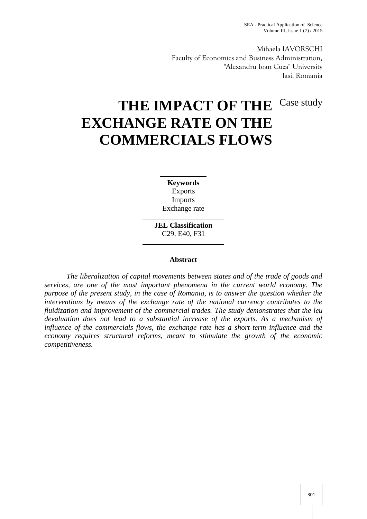Mihaela IAVORSCHI Faculty of Economics and Business Administration, "Alexandru Ioan Cuza" University Iasi, Romania

# THE IMPACT OF THE Case study **EXCHANGE RATE ON THE COMMERCIALS FLOWS**

**Keywords** Exports Imports Exchange rate

**JEL Classification** C29, E40, F31

# **Abstract**

*The liberalization of capital movements between states and of the trade of goods and services, are one of the most important phenomena in the current world economy. The purpose of the present study, in the case of Romania, is to answer the question whether the interventions by means of the exchange rate of the national currency contributes to the fluidization and improvement of the commercial trades. The study demonstrates that the leu devaluation does not lead to a substantial increase of the exports. As a mechanism of influence of the commercials flows, the exchange rate has a short-term influence and the economy requires structural reforms, meant to stimulate the growth of the economic competitiveness.*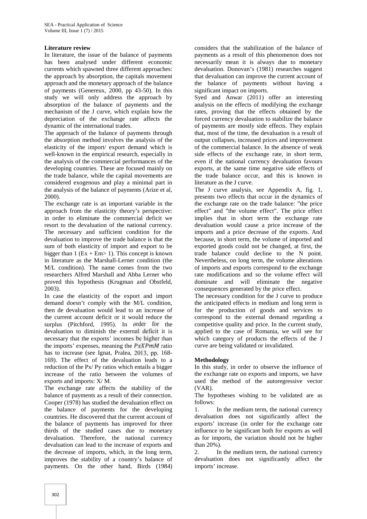### **Literature review**

In literature, the issue of the balance of payments has been analysed under different economic currents which spawned three different approaches: the approach by absorption, the capitals movement approach and the monetary approach of the balance of payments (Genereux, 2000, pp 43-50). In this study we will only address the approach by absorption of the balance of payments and the mechanism of the J curve, which explain how the depreciation of the exchange rate affects the dynamic of the international trades.

The approach of the balance of payments through the absorption method involves the analysis of the elasticity of the import/ export demand which is well-known in the empirical research, especially in the analysis of the commercial performances of the developing countries. These are focused mainly on the trade balance, while the capital movements are considered exogenous and play a minimal part in the analysis of the balance of payments (Arize et al, 2000).

The exchange rate is an important variable in the approach from the elasticity theory's perspective: in order to eliminate the commercial deficit we resort to the devaluation of the national currency. The necessary and sufficient condition for the devaluation to improve the trade balance is that the sum of both elasticity of import and export to be bigger than 1 ( $Ex + Em > 1$ ). This concept is known in literature as the Marshall-Lerner condition (the M/L condition). The name comes from the two researchers Alfred Marshall and Abba Lerner who proved this hypothesis (Krugman and Obstfeld, 2003).

In case the elasticity of the export and import demand doesn't comply with the M/L condition, then de devaluation would lead to an increase of the current account deficit or it would reduce the surplus (Pitchford, 1995). In order for the devaluation to diminish the external deficit it is necessary that the exports' incomes be higher than the imports' expenses, meaning the  $P$ x $X$  $P$  $m$  $M$  ratio has to increase (see Ignat, Pralea, 2013, pp. 168- 169). The effect of the devaluation leads to a reduction of the Px/ Py ratios which entails a bigger increase of the ratio between the volumes of exports and imports: X/ M.

The exchange rate affects the stability of the balance of payments as a result of their connection. Cooper (1978) has studied the devaluation effect on the balance of payments for the developing countries. He discovered that the current account of the balance of payments has improved for three thirds of the studied cases due to monetary devaluation. Therefore, the national currency devaluation can lead to the increase of exports and the decrease of imports, which, in the long term, improves the stability of a country's balance of payments. On the other hand, Birds (1984)

considers that the stabilization of the balance of payments as a result of this phenomenon does not necessarily mean it is always due to monetary devaluation. Donovan's (1981) researches suggest that devaluation can improve the current account of the balance of payments without having a significant impact on imports.

Syed and Anwar (2011) offer an interesting analysis on the effects of modifying the exchange rates, proving that the effects obtained by the forced currency devaluation to stabilize the balance of payments are mostly side effects. They explain that, most of the time, the devaluation is a result of output collapses, increased prices and improvement of the commercial balance. In the absence of weak side effects of the exchange rate, in short term, even if the national currency devaluation favours exports, at the same time negative side effects of the trade balance occur, and this is known in literature as the J curve.

The J curve analysis, see Appendix A, fig. 1, presents two effects that occur in the dynamics of the exchange rate on the trade balance: "the price effect" and "the volume effect". The price effect implies that in short term the exchange rate devaluation would cause a price increase of the imports and a price decrease of the exports. And because, in short term, the volume of imported and exported goods could not be changed, at first, the trade balance could decline to the N point. Nevertheless, on long term, the volume alterations of imports and exports correspond to the exchange rate modifications and so the volume effect will dominate and will eliminate the negative consequences generated by the price effect.

The necessary condition for the J curve to produce the anticipated effects in medium and long term is for the production of goods and services to correspond to the external demand regarding a competitive quality and price. In the current study, applied to the case of Romania, we will see for which category of products the effects of the J curve are being validated or invalidated.

# **Methodology**

In this study, in order to observe the influence of the exchange rate on exports and imports, we have used the method of the autoregressive vector (VAR).

The hypotheses wishing to be validated are as follows:

In the medium term, the national currency devaluation does not significantly affect the exports' increase (in order for the exchange rate influence to be significant both for exports as well as for imports, the variation should not be higher than 20%).

2. In the medium term, the national currency devaluation does not significantly affect the imports' increase.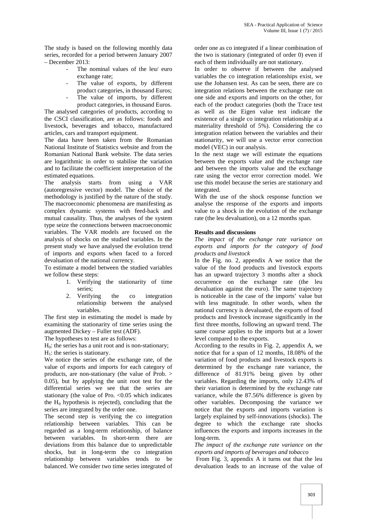The study is based on the following monthly data series, recorded for a period between January 2007 – December 2013:

- The nominal values of the leu/ euro exchange rate;
- The value of exports, by different product categories, in thousand Euros;
- The value of imports, by different product categories, in thousand Euros.

The analysed categories of products, according to the CSCI classification, are as follows: foods and livestock, beverages and tobacco, manufactured articles, cars and transport equipment.

The data have been taken from the Romanian National Institute of Statistics website and from the Romanian National Bank website. The data series are logarithmic in order to stabilise the variation and to facilitate the coefficient interpretation of the estimated equations.

The analysis starts from using a VAR (autoregressive vector) model. The choice of the methodology is justified by the nature of the study. The macroeconomic phenomena are manifesting as complex dynamic systems with feed-back and mutual causality. Thus, the analyses of the system type seize the connections between macroeconomic variables. The VAR models are focused on the analysis of shocks on the studied variables. In the present study we have analysed the evolution trend of imports and exports when faced to a forced devaluation of the national currency.

To estimate a model between the studied variables we follow these steps:

- 1. Verifying the stationarity of time series;
- 2. Verifying the co integration relationship between the analysed variables.

The first step in estimating the model is made by examining the stationarity of time series using the augmented Dickey – Fuller test (ADF).

The hypotheses to test are as follows:

 $H<sub>0</sub>$ : the series has a unit root and is non-stationary;

 $H<sub>1</sub>$ : the series is stationary.

We notice the series of the exchange rate, of the value of exports and imports for each category of products, are non-stationary (the value of Prob. > 0.05), but by applying the unit root test for the differential series we see that the series are stationary (the value of Pro.  $< 0.05$  which indicates the  $H_0$  hypothesis is rejected), concluding that the series are integrated by the order one.

The second step is verifying the co integration relationship between variables. This can be regarded as a long-term relationship, of balance between variables. In short-term there are deviations from this balance due to unpredictable shocks, but in long-term the co integration relationship between variables tends to be balanced. We consider two time series integrated of order one as co integrated if a linear combination of the two is stationary (integrated of order 0) even if each of them individually are not stationary.

In order to observe if between the analysed variables the co integration relationships exist, we use the Johansen test. As can be seen, there are co integration relations between the exchange rate on one side and exports and imports on the other, for each of the product categories (both the Trace test as well as the Eigen value test indicate the existence of a single co integration relationship at a materiality threshold of 5%). Considering the co integration relation between the variables and their stationarity, we will use a vector error correction model (VEC) in our analysis.

In the next stage we will estimate the equations between the exports value and the exchange rate and between the imports value and the exchange rate using the vector error correction model. We use this model because the series are stationary and integrated.

With the use of the shock response function we analyse the response of the exports and imports value to a shock in the evolution of the exchange rate (the leu devaluation), on a 12 months span.

## **Results and discussions**

*The impact of the exchange rate variance on exports and imports for the category of food products and livestock*

In the Fig. no. 2, appendix A we notice that the value of the food products and livestock exports has an upward trajectory 3 months after a shock occurrence on the exchange rate (the leu devaluation against the euro). The same trajectory is noticeable in the case of the imports' value but with less magnitude. In other words, when the national currency is devaluated, the exports of food products and livestock increase significantly in the first three months, following an upward trend. The same course applies to the imports but at a lower level compared to the exports.

According to the results in Fig. 2, appendix A, we notice that for a span of 12 months, 18.08% of the variation of food products and livestock exports is determined by the exchange rate variance, the difference of 81.91% being given by other variables. Regarding the imports, only 12.43% of their variation is determined by the exchange rate variance, while the 87.56% difference is given by other variables. Decomposing the variance we notice that the exports and imports variation is largely explained by self-innovations (shocks). The degree to which the exchange rate shocks influences the exports and imports increases in the long-term.

*The impact of the exchange rate variance on the exports and imports of beverages and tobacco*

From Fig. 3, appendix A it turns out that the leu devaluation leads to an increase of the value of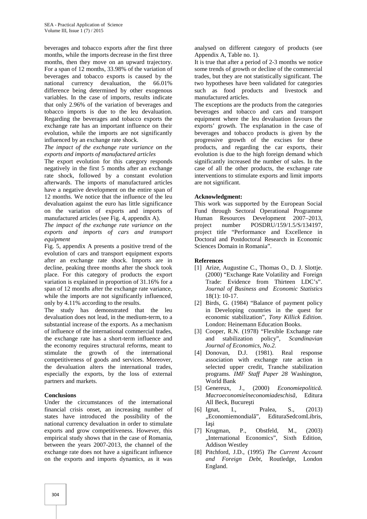beverages and tobacco exports after the first three months, while the imports decrease in the first three months, then they move on an upward trajectory. For a span of 12 months, 33.98% of the variation of beverages and tobacco exports is caused by the national currency devaluation, the 66.01% difference being determined by other exogenous variables. In the case of imports, results indicate that only 2.96% of the variation of beverages and tobacco imports is due to the leu devaluation. Regarding the beverages and tobacco exports the exchange rate has an important influence on their evolution, while the imports are not significantly influenced by an exchange rate shock.

*The impact of the exchange rate variance on the exports and imports of manufactured articles*

The export evolution for this category responds negatively in the first 5 months after an exchange rate shock, followed by a constant evolution afterwards. The imports of manufactured articles have a negative development on the entire span of 12 months. We notice that the influence of the leu devaluation against the euro has little significance on the variation of exports and imports of manufactured articles (see Fig. 4, appendix A).

*The impact of the exchange rate variance on the exports and imports of cars and transport equipment*

Fig. 5, appendix A presents a positive trend of the evolution of cars and transport equipment exports after an exchange rate shock. Imports are in decline, peaking three months after the shock took place. For this category of products the export variation is explained in proportion of 31.16% for a span of 12 months after the exchange rate variance, while the imports are not significantly influenced, only by 4.11% according to the results.

The study has demonstrated that the leu devaluation does not lead, in the medium-term, to a substantial increase of the exports. As a mechanism of influence of the international commercial trades, the exchange rate has a short-term influence and the economy requires structural reforms, meant to stimulate the growth of the international competitiveness of goods and services. Moreover, the devaluation alters the international trades, especially the exports, by the loss of external partners and markets.

### **Conclusions**

Under the circumstances of the international financial crisis onset, an increasing number of states have introduced the possibility of the national currency devaluation in order to stimulate exports and grow competitiveness. However, this empirical study shows that in the case of Romania, between the years 2007-2013, the channel of the exchange rate does not have a significant influence on the exports and imports dynamics, as it was

analysed on different category of products (see Appendix A, Table no. 1).

It is true that after a period of 2-3 months we notice some trends of growth or decline of the commercial trades, but they are not statistically significant. The two hypotheses have been validated for categories such as food products and livestock and manufactured articles.

The exceptions are the products from the categories beverages and tobacco and cars and transport equipment where the leu devaluation favours the exports' growth. The explanation in the case of beverages and tobacco products is given by the progressive growth of the excises for these products, and regarding the car exports, their evolution is due to the high foreign demand which significantly increased the number of sales. In the case of all the other products, the exchange rate interventions to stimulate exports and limit imports are not significant.

#### **Acknowledgment:**

This work was supported by the European Social Fund through Sectoral Operational Programme Human Resources Development 2007–2013, project number POSDRU/159/1.5/S/134197, project title "Performance and Excellence in Doctoral and Postdoctoral Research in Economic Sciences Domain in Romania".

#### **References**

- [1] Arize, Augustine C., Thomas O., D. J. Slottje. (2000) "Exchange Rate Volatility and Foreign Trade: Evidence from Thirteen LDC's". *Journal of Business and Economic Statistics* 18(1): 10-17.
- [2] Birds, G. (1984) "Balance of payment policy in Developing countries in the quest for economic stabilization", *Tony Killick Edition*. London: Heinemann Education Books.
- [3] Cooper, R.N. (1978) "Flexible Exchange rate and stabilization policy", *Scandinavian Journal of Economics, No.2.*
- [4] Donovan, D.J. (1981). Real response association with exchange rate action in selected upper credit, Tranche stabilization programs. *IMF Staff Paper 28* Washington, World Bank
- [5] Genereux, J., (2000) *Economiepolitic* . *Macroeconomieîneconomiadeschisă,* Editura All Beck, Bucure ti
- [6] Ignat, I., Pralea, S., (2013) "Economiemondial", EdituraSedcomLibris, Ia i
- [7] Krugman, P., Obstfeld, M., (2003) "International Economics", Sixth Edition, Addison Westley
- [8] Pitchford, J.D., (1995) *The Current Account and Foreign Debt*, Routledge, London England.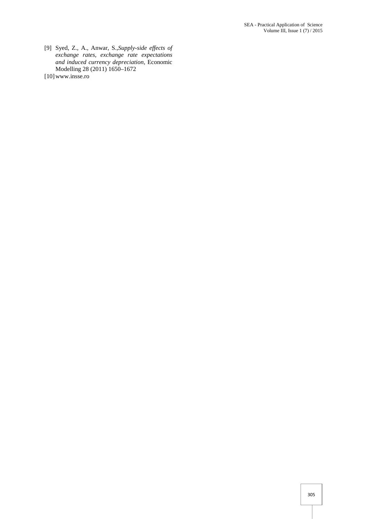- [9] Syed, Z., A., Anwar, S.,*Supply-side effects of exchange rates, exchange rate expectations and induced currency depreciation,* Economic Modelling 28 (2011) 1650–1672
- [10]www.insse.ro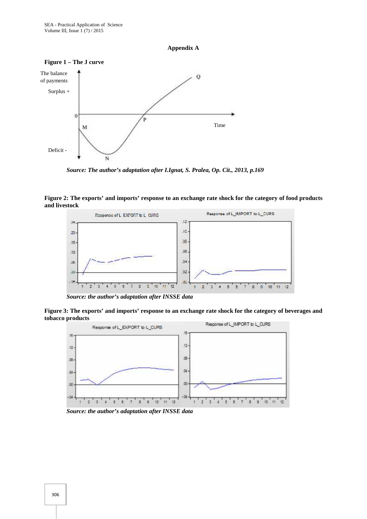





*Source: The author's adaptation after I.Ignat, S. Pralea, Op. Cit., 2013, p.169*

**Figure 2: The exports' and imports' response to an exchange rate shock for the category of food products and livestock**



*Source: the author's adaptation after INSSE data*

**Figure 3: The exports' and imports' response to an exchange rate shock for the category of beverages and tobacco products**



*Source: the author's adaptation after INSSE data*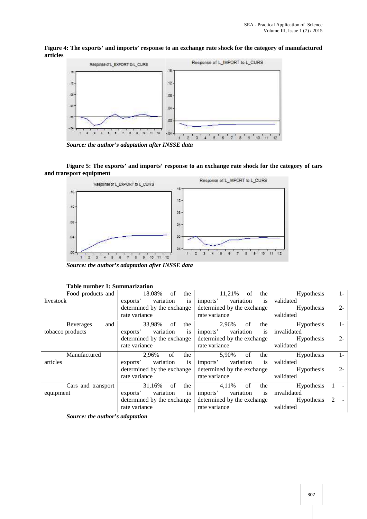**Figure 4: The exports' and imports' response to an exchange rate shock for the category of manufactured articles**



*Source: the author's adaptation after INSSE data*

**Figure 5: The exports' and imports' response to an exchange rate shock for the category of cars and transport equipment**



*Source: the author's adaptation after INSSE data*

| 18.08%<br>of<br>the                     | 11,21%<br>the<br>of                     | Hypothesis<br>$\mathbf{I}$         |
|-----------------------------------------|-----------------------------------------|------------------------------------|
| exports'<br>variation<br><sup>1</sup> S | imports'<br>variation<br><sup>1</sup> S | validated                          |
| determined by the exchange              | determined by the exchange              | $2 -$<br><b>Hypothesis</b>         |
| rate variance                           | rate variance                           | validated                          |
| 33,98%<br>- of<br>the                   | 2,96%<br>of<br>the                      | Hypothesis<br>$1-$                 |
| variation<br>exports'<br><sup>1</sup> S | variation<br>imports'<br><sup>is</sup>  | invalidated                        |
| determined by the exchange              | determined by the exchange              | $2 -$<br><b>Hypothesis</b>         |
| rate variance                           | rate variance                           | validated                          |
| of<br>2.96%<br>the                      | 5,90%<br>of<br>the                      | <b>Hypothesis</b><br>$1 -$         |
| variation<br>exports'<br><sup>1</sup> S | variation<br>imports'<br><sup>is</sup>  | validated                          |
| determined by the exchange              | determined by the exchange              | $2 -$<br><b>Hypothesis</b>         |
| rate variance                           | rate variance                           | validated                          |
| 31,16%<br>of<br>the                     | 4,11%<br>of<br>the                      | <b>Hypothesis</b>                  |
| variation<br>exports'<br>1S             | variation<br>imports'<br><sup>is</sup>  | invalidated                        |
| determined by the exchange              | determined by the exchange              | <b>Hypothesis</b><br>$\mathcal{L}$ |
| rate variance                           | rate variance                           | validated                          |
|                                         |                                         |                                    |

**Table number 1: Summarization**

*Source: the author's adaptation*